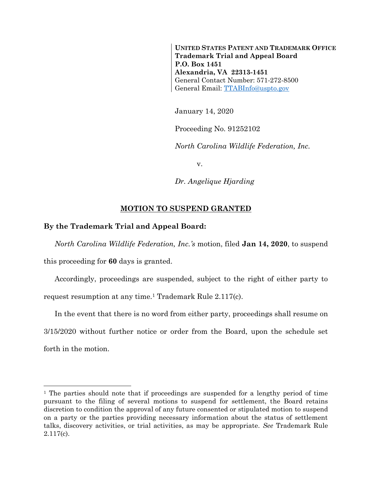**UNITED STATES PATENT AND TRADEMARK OFFICE Trademark Trial and Appeal Board P.O. Box 1451 Alexandria, VA 22313-1451** General Contact Number: 571-272-8500 General Email: [TTABInfo@uspto.gov](mailto:TTABInfo@uspto.gov)

January 14, 2020

Proceeding No. 91252102

*North Carolina Wildlife Federation, Inc.*

v.

*Dr. Angelique Hjarding*

## **MOTION TO SUSPEND GRANTED**

## **By the Trademark Trial and Appeal Board:**

l

*North Carolina Wildlife Federation, Inc.'s* motion, filed **Jan 14, 2020**, to suspend this proceeding for **60** days is granted.

Accordingly, proceedings are suspended, subject to the right of either party to request resumption at any time.<sup>1</sup> Trademark Rule 2.117(c).

In the event that there is no word from either party, proceedings shall resume on 3/15/2020 without further notice or order from the Board, upon the schedule set forth in the motion.

<sup>&</sup>lt;sup>1</sup> The parties should note that if proceedings are suspended for a lengthy period of time pursuant to the filing of several motions to suspend for settlement, the Board retains discretion to condition the approval of any future consented or stipulated motion to suspend on a party or the parties providing necessary information about the status of settlement talks, discovery activities, or trial activities, as may be appropriate. *See* Trademark Rule 2.117(c).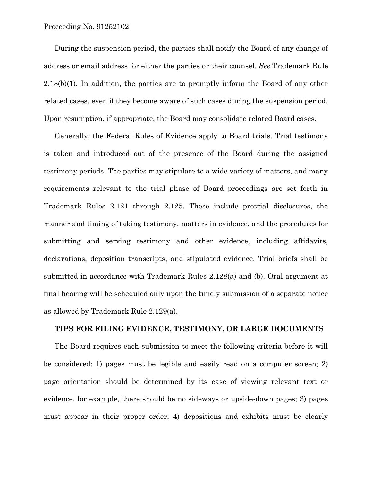During the suspension period, the parties shall notify the Board of any change of address or email address for either the parties or their counsel. *See* Trademark Rule 2.18(b)(1). In addition, the parties are to promptly inform the Board of any other related cases, even if they become aware of such cases during the suspension period. Upon resumption, if appropriate, the Board may consolidate related Board cases.

Generally, the Federal Rules of Evidence apply to Board trials. Trial testimony is taken and introduced out of the presence of the Board during the assigned testimony periods. The parties may stipulate to a wide variety of matters, and many requirements relevant to the trial phase of Board proceedings are set forth in Trademark Rules 2.121 through 2.125. These include pretrial disclosures, the manner and timing of taking testimony, matters in evidence, and the procedures for submitting and serving testimony and other evidence, including affidavits, declarations, deposition transcripts, and stipulated evidence. Trial briefs shall be submitted in accordance with Trademark Rules 2.128(a) and (b). Oral argument at final hearing will be scheduled only upon the timely submission of a separate notice as allowed by Trademark Rule 2.129(a).

## **TIPS FOR FILING EVIDENCE, TESTIMONY, OR LARGE DOCUMENTS**

The Board requires each submission to meet the following criteria before it will be considered: 1) pages must be legible and easily read on a computer screen; 2) page orientation should be determined by its ease of viewing relevant text or evidence, for example, there should be no sideways or upside-down pages; 3) pages must appear in their proper order; 4) depositions and exhibits must be clearly